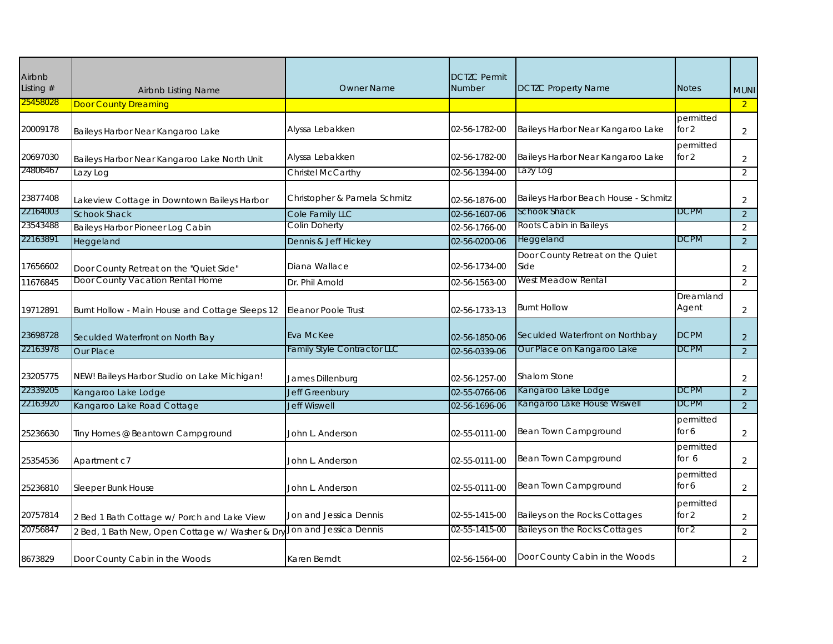| Airbnb<br>Listing $#$ | <b>Airbnb Listing Name</b>                      | <b>Owner Name</b>            | <b>DCTZC Permit</b><br><b>Number</b> | <b>DCTZC Property Name</b>               | <b>Notes</b>       | <b>MUNI</b>    |
|-----------------------|-------------------------------------------------|------------------------------|--------------------------------------|------------------------------------------|--------------------|----------------|
| 25458028              | <b>Door County Dreaming</b>                     |                              |                                      |                                          |                    | $\overline{2}$ |
| 20009178              | Baileys Harbor Near Kangaroo Lake               | Alyssa Lebakken              | 02-56-1782-00                        | Baileys Harbor Near Kangaroo Lake        | permitted<br>for 2 | $\overline{2}$ |
| 20697030              | Baileys Harbor Near Kangaroo Lake North Unit    | Alyssa Lebakken              | 02-56-1782-00                        | Baileys Harbor Near Kangaroo Lake        | permitted<br>for 2 | $\overline{2}$ |
| 24806467              | Lazy Log                                        | Christel McCarthy            | 02-56-1394-00                        | Lazy Log                                 |                    | $\overline{2}$ |
| 23877408              | Lakeview Cottage in Downtown Baileys Harbor     | Christopher & Pamela Schmitz | 02-56-1876-00                        | Baileys Harbor Beach House - Schmitz     |                    | $\overline{2}$ |
| 22164003              | <b>Schook Shack</b>                             | Cole Family LLC              | 02-56-1607-06                        | Schook Shack                             | <b>DCPM</b>        | $\overline{2}$ |
| 23543488              | Baileys Harbor Pioneer Log Cabin                | <b>Colin Doherty</b>         | 02-56-1766-00                        | Roots Cabin in Baileys                   |                    | 2              |
| 22163891              | Heggeland                                       | Dennis & Jeff Hickey         | 02-56-0200-06                        | Heggeland                                | <b>DCPM</b>        | $\overline{2}$ |
| 17656602              | Door County Retreat on the "Quiet Side"         | Diana Wallace                | 02-56-1734-00                        | Door County Retreat on the Quiet<br>Side |                    | 2              |
| 11676845              | Door County Vacation Rental Home                | Dr. Phil Arnold              | 02-56-1563-00                        | West Meadow Rental                       |                    | 2              |
| 19712891              | Burnt Hollow - Main House and Cottage Sleeps 12 | Eleanor Poole Trust          | 02-56-1733-13                        | <b>Burnt Hollow</b>                      | Dreamland<br>Agent | $\overline{2}$ |
| 23698728              | Seculded Waterfront on North Bay                | Eva McKee                    | 02-56-1850-06                        | Seculded Waterfront on Northbay          | <b>DCPM</b>        | $\overline{2}$ |
| 22163978              | Our Place                                       | Family Style Contractor LLC  | 02-56-0339-06                        | Our Place on Kangaroo Lake               | <b>DCPM</b>        | $\overline{2}$ |
| 23205775              | NEW! Baileys Harbor Studio on Lake Michigan!    | James Dillenburg             | 02-56-1257-00                        | Shalom Stone                             |                    | 2              |
| 22339205              | Kangaroo Lake Lodge                             | Jeff Greenbury               | 02-55-0766-06                        | Kangaroo Lake Lodge                      | <b>DCPM</b>        | $\overline{2}$ |
| 22163920              | Kangaroo Lake Road Cottage                      | <b>Jeff Wiswell</b>          | 02-56-1696-06                        | Kangaroo Lake House Wiswell              | <b>DCPM</b>        | 2              |
| 25236630              | Tiny Homes @ Beantown Campground                | John L. Anderson             | 02-55-0111-00                        | Bean Town Campground                     | permitted<br>for 6 | $\overline{2}$ |
| 25354536              | Apartment c7                                    | John L. Anderson             | 02-55-0111-00                        | Bean Town Campground                     | permitted<br>for 6 | 2              |
| 25236810              | Sleeper Bunk House                              | John L. Anderson             | 02-55-0111-00                        | Bean Town Campground                     | permitted<br>for 6 | $\overline{2}$ |
| 20757814              | 2 Bed 1 Bath Cottage w/ Porch and Lake View     | Jon and Jessica Dennis       | 02-55-1415-00                        | Baileys on the Rocks Cottages            | permitted<br>for 2 | 2              |
| 20756847              | 2 Bed, 1 Bath New, Open Cottage w/ Washer & Dr  | Jon and Jessica Dennis       | 02-55-1415-00                        | Baileys on the Rocks Cottages            | for $2$            | $\overline{2}$ |
| 8673829               | Door County Cabin in the Woods                  | Karen Berndt                 | 02-56-1564-00                        | Door County Cabin in the Woods           |                    | $\overline{2}$ |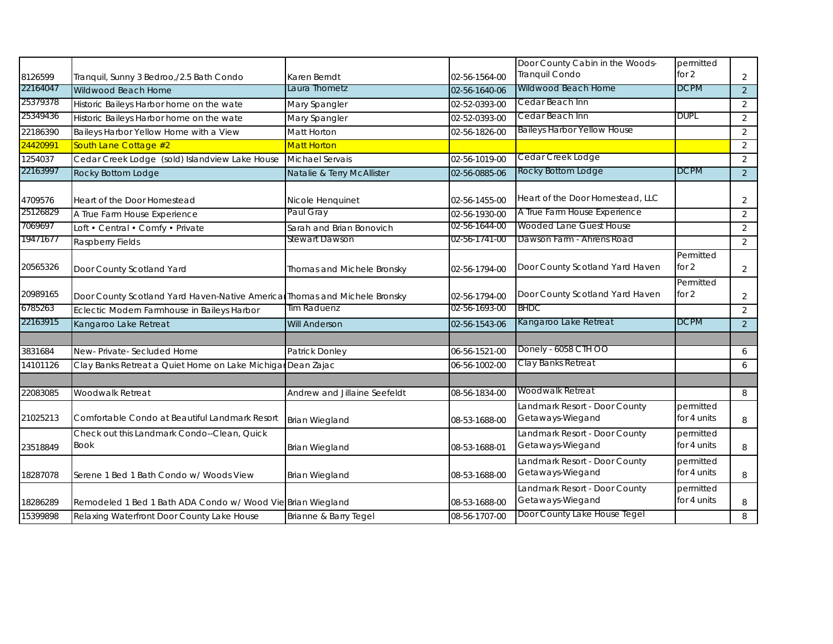|          |                                                                            |                              |               | Door County Cabin in the Woods-                   | permitted                |                |
|----------|----------------------------------------------------------------------------|------------------------------|---------------|---------------------------------------------------|--------------------------|----------------|
| 8126599  | Tranquil, Sunny 3 Bedroo,/2.5 Bath Condo                                   | Karen Berndt                 | 02-56-1564-00 | Tranquil Condo                                    | for 2                    | $\overline{2}$ |
| 22164047 | Wildwood Beach Home                                                        | Laura Thometz                | 02-56-1640-06 | Wildwood Beach Home                               | <b>DCPM</b>              | $\overline{2}$ |
| 25379378 | Historic Baileys Harbor home on the wate                                   | Mary Spangler                | 02-52-0393-00 | Cedar Beach Inn                                   |                          | $\overline{2}$ |
| 25349436 | Historic Baileys Harbor home on the wate                                   | Mary Spangler                | 02-52-0393-00 | Cedar Beach Inn                                   | DUPL                     | 2              |
| 22186390 | Baileys Harbor Yellow Home with a View                                     | Matt Horton                  | 02-56-1826-00 | <b>Baileys Harbor Yellow House</b>                |                          | $\overline{2}$ |
| 24420991 | South Lane Cottage #2                                                      | <b>Matt Horton</b>           |               |                                                   |                          | $\overline{2}$ |
| 1254037  | Cedar Creek Lodge (sold) Islandview Lake House                             | <b>Michael Servais</b>       | 02-56-1019-00 | Cedar Creek Lodge                                 |                          | $\overline{2}$ |
| 22163997 | Rocky Bottom Lodge                                                         | Natalie & Terry McAllister   | 02-56-0885-06 | Rocky Bottom Lodge                                | <b>DCPM</b>              | $\overline{2}$ |
|          |                                                                            |                              |               |                                                   |                          |                |
| 4709576  | Heart of the Door Homestead                                                | Nicole Henquinet             | 02-56-1455-00 | Heart of the Door Homestead, LLC                  |                          | $\overline{2}$ |
| 25126829 | A True Farm House Experience                                               | Paul Gray                    | 02-56-1930-00 | A True Farm House Experience                      |                          | $\overline{2}$ |
| 7069697  | Loft • Central • Comfy • Private                                           | Sarah and Brian Bonovich     | 02-56-1644-00 | Wooded Lane Guest House                           |                          | $\overline{2}$ |
| 19471677 | Raspberry Fields                                                           | <b>Stewart Dawson</b>        | 02-56-1741-00 | Dawson Farm - Ahrens Road                         |                          | $\overline{2}$ |
| 20565326 | Door County Scotland Yard                                                  | Thomas and Michele Bronsky   | 02-56-1794-00 | Door County Scotland Yard Haven                   | Permitted<br>for 2       | $\overline{2}$ |
| 20989165 | Door County Scotland Yard Haven-Native Americal Thomas and Michele Bronsky |                              | 02-56-1794-00 | Door County Scotland Yard Haven                   | Permitted<br>for 2       | $\overline{2}$ |
| 6785263  | Eclectic Modern Farmhouse in Baileys Harbor                                | Tim Raduenz                  | 02-56-1693-00 | <b>BHDC</b>                                       |                          | $\overline{2}$ |
| 22163915 | Kangaroo Lake Retreat                                                      | <b>Will Anderson</b>         | 02-56-1543-06 | Kangaroo Lake Retreat                             | <b>DCPM</b>              | $\overline{2}$ |
|          |                                                                            |                              |               |                                                   |                          |                |
| 3831684  | New-Private-Secluded Home                                                  | Patrick Donley               | 06-56-1521-00 | Donely - 6058 CTH OO                              |                          | 6              |
| 14101126 | Clay Banks Retreat a Quiet Home on Lake Michigar Dean Zajac                |                              | 06-56-1002-00 | Clay Banks Retreat                                |                          | 6              |
|          |                                                                            |                              |               |                                                   |                          |                |
| 22083085 | Woodwalk Retreat                                                           | Andrew and Jillaine Seefeldt | 08-56-1834-00 | Woodwalk Retreat                                  |                          | 8              |
| 21025213 | Comfortable Condo at Beautiful Landmark Resort                             | <b>Brian Wiegland</b>        | 08-53-1688-00 | Landmark Resort - Door County<br>Getaways-Wiegand | permitted<br>for 4 units | 8              |
| 23518849 | Check out this Landmark Condo--Clean, Quick<br><b>Book</b>                 | <b>Brian Wiegland</b>        | 08-53-1688-01 | Landmark Resort - Door County<br>Getaways-Wiegand | permitted<br>for 4 units | 8              |
| 18287078 | Serene 1 Bed 1 Bath Condo w/ Woods View                                    | Brian Wiegland               | 08-53-1688-00 | Landmark Resort - Door County<br>Getaways-Wiegand | permitted<br>for 4 units | 8              |
| 18286289 | Remodeled 1 Bed 1 Bath ADA Condo w/ Wood Vie Brian Wiegland                |                              | 08-53-1688-00 | andmark Resort - Door County<br>Getaways-Wiegand  | permitted<br>for 4 units | 8              |
| 15399898 | Relaxing Waterfront Door County Lake House                                 | Brianne & Barry Tegel        | 08-56-1707-00 | Door County Lake House Tegel                      |                          | 8              |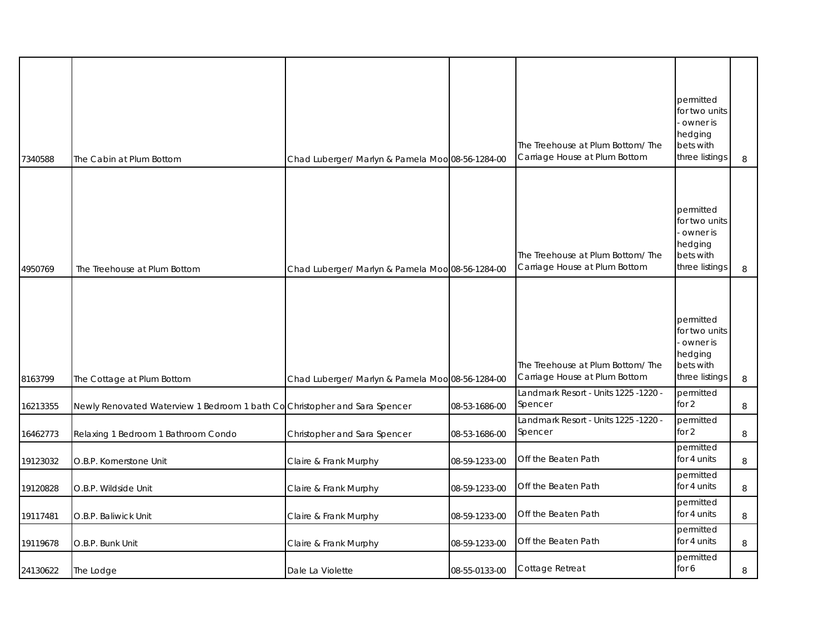|          |                                                                           |                                                  |               | The Treehouse at Plum Bottom/ The<br>Carriage House at Plum Bottom | permitted<br>for two units<br>owner is<br>hedging<br>bets with<br>three listings |         |
|----------|---------------------------------------------------------------------------|--------------------------------------------------|---------------|--------------------------------------------------------------------|----------------------------------------------------------------------------------|---------|
| 7340588  | The Cabin at Plum Bottom                                                  | Chad Luberger/ Marlyn & Pamela Moo 08-56-1284-00 |               |                                                                    |                                                                                  | 8       |
| 4950769  | The Treehouse at Plum Bottom                                              | Chad Luberger/ Marlyn & Pamela Moo 08-56-1284-00 |               | The Treehouse at Plum Bottom/The<br>Carriage House at Plum Bottom  | permitted<br>for two units<br>owner is<br>hedging<br>bets with<br>three listings | 8       |
|          |                                                                           |                                                  |               |                                                                    |                                                                                  |         |
| 8163799  | The Cottage at Plum Bottom                                                | Chad Luberger/ Marlyn & Pamela Moo 08-56-1284-00 |               | The Treehouse at Plum Bottom/The<br>Carriage House at Plum Bottom  | permitted<br>for two units<br>owner is<br>hedging<br>bets with<br>three listings | 8       |
| 16213355 | Newly Renovated Waterview 1 Bedroom 1 bath CoChristopher and Sara Spencer |                                                  | 08-53-1686-00 | Landmark Resort - Units 1225 -1220 -<br>Spencer                    | permitted<br>for $2$                                                             | 8       |
| 16462773 | Relaxing 1 Bedroom 1 Bathroom Condo                                       | Christopher and Sara Spencer                     | 08-53-1686-00 | - Landmark Resort - Units 1225 -1220<br>Spencer                    | permitted<br>for $2$                                                             | 8       |
| 19123032 | O.B.P. Kornerstone Unit                                                   | Claire & Frank Murphy                            | 08-59-1233-00 | Off the Beaten Path                                                | permitted<br>for 4 units                                                         | 8       |
| 19120828 | O.B.P. Wildside Unit                                                      | Claire & Frank Murphy                            | 08-59-1233-00 | Off the Beaten Path                                                | permitted<br>for 4 units                                                         | 8       |
| 19117481 | O.B.P. Baliwick Unit                                                      | Claire & Frank Murphy                            | 08-59-1233-00 | Off the Beaten Path                                                | permitted<br>for 4 units                                                         | $\,8\,$ |
| 19119678 | O.B.P. Bunk Unit                                                          | Claire & Frank Murphy                            | 08-59-1233-00 | Off the Beaten Path                                                | permitted<br>for 4 units                                                         | $\,8\,$ |
| 24130622 | The Lodge                                                                 | Dale La Violette                                 | 08-55-0133-00 | Cottage Retreat                                                    | permitted<br>for 6                                                               | 8       |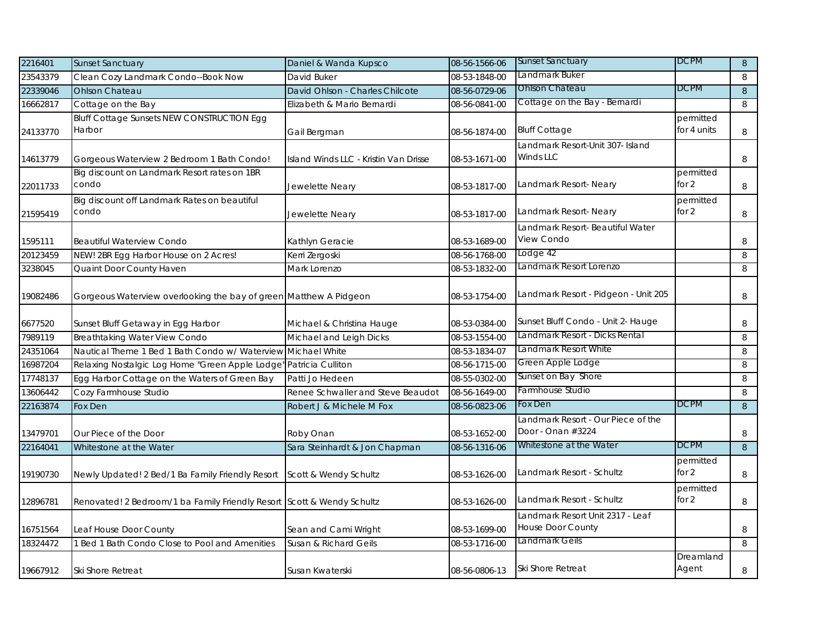| 2216401  | <b>Sunset Sanctuary</b>                                                | Daniel & Wanda Kupsco                 | 08-56-1566-06 | <b>Sunset Sanctuary</b>              | <b>DCPM</b> | 8              |
|----------|------------------------------------------------------------------------|---------------------------------------|---------------|--------------------------------------|-------------|----------------|
| 23543379 | Clean Cozy Landmark Condo--Book Now                                    | David Buker                           | 08-53-1848-00 | Landmark Buker                       |             | 8              |
| 22339046 | <b>Ohlson Chateau</b>                                                  | David Ohlson - Charles Chilcote       | 08-56-0729-06 | <b>Ohlson Chateau</b>                | <b>DCPM</b> | 8              |
| 16662817 | Cottage on the Bay                                                     | Elizabeth & Mario Bernardi            | 08-56-0841-00 | Cottage on the Bay - Bernardi        |             | 8              |
|          | <b>Bluff Cottage Sunsets NEW CONSTRUCTION Egg</b>                      |                                       |               |                                      | permitted   |                |
| 24133770 | Harbor                                                                 | Gail Bergman                          | 08-56-1874-00 | <b>Bluff Cottage</b>                 | for 4 units | 8              |
|          |                                                                        |                                       |               | Landmark Resort-Unit 307- Island     |             |                |
| 14613779 | Gorgeous Waterview 2 Bedroom 1 Bath Condo!                             | Island Winds LLC - Kristin Van Drisse | 08-53-1671-00 | Winds LLC                            |             | 8              |
|          | Big discount on Landmark Resort rates on 1BR                           |                                       |               |                                      | permitted   |                |
| 22011733 | condo                                                                  | Jewelette Neary                       | 08-53-1817-00 | Landmark Resort- Neary               | for $2$     | 8              |
|          | Big discount off Landmark Rates on beautiful                           |                                       |               |                                      | permitted   |                |
| 21595419 | condo                                                                  | Jewelette Neary                       | 08-53-1817-00 | Landmark Resort-Neary                | for $2$     | 8              |
|          |                                                                        |                                       |               | Landmark Resort- Beautiful Water     |             |                |
| 1595111  | <b>Beautiful Waterview Condo</b>                                       | Kathlyn Geracie                       | 08-53-1689-00 | View Condo                           |             | 8              |
| 20123459 | NEW! 2BR Egg Harbor House on 2 Acres!                                  | Kerri Zergoski                        | 08-56-1768-00 | odge 42                              |             | 8              |
| 3238045  | Quaint Door County Haven                                               | Mark Lorenzo                          | 08-53-1832-00 | andmark Resort Lorenzo               |             | 8              |
|          |                                                                        |                                       |               |                                      |             |                |
| 19082486 | Gorgeous Waterview overlooking the bay of green Matthew A Pidgeon      |                                       | 08-53-1754-00 | Landmark Resort - Pidgeon - Unit 205 |             | 8              |
|          |                                                                        |                                       |               |                                      |             |                |
| 6677520  | Sunset Bluff Getaway in Egg Harbor                                     | Michael & Christina Hauge             | 08-53-0384-00 | Sunset Bluff Condo - Unit 2- Hauge   |             | 8              |
| 7989119  | Breathtaking Water View Condo                                          | Michael and Leigh Dicks               | 08-53-1554-00 | Landmark Resort - Dicks Rental       |             | 8              |
| 24351064 | Nautical Theme 1 Bed 1 Bath Condo w/ Waterview                         | <b>Michael White</b>                  | 08-53-1834-07 | Landmark Resort White                |             | 8              |
| 16987204 | Relaxing Nostalgic Log Home "Green Apple Lodge"                        | Patricia Culliton                     | 08-56-1715-00 | Green Apple Lodge                    |             | 8              |
| 17748137 | Egg Harbor Cottage on the Waters of Green Bay                          | Patti Jo Hedeen                       | 08-55-0302-00 | Sunset on Bay Shore                  |             | 8              |
| 13606442 | Cozy Farmhouse Studio                                                  | Renee Schwaller and Steve Beaudot     | 08-56-1649-00 | Farmhouse Studio                     |             | 8              |
| 22163874 | Fox Den                                                                | Robert J & Michele M Fox              | 08-56-0823-06 | Fox Den                              | <b>DCPM</b> | $\, 8$         |
|          |                                                                        |                                       |               | andmark Resort - Our Piece of the    |             |                |
| 13479701 | Our Piece of the Door                                                  | Roby Onan                             | 08-53-1652-00 | Door - Onan #3224                    |             | 8              |
| 22164041 | Whitestone at the Water                                                | Sara Steinhardt & Jon Chapman         | 08-56-1316-06 | Whitestone at the Water              | <b>DCPM</b> | $8\phantom{.}$ |
|          |                                                                        |                                       |               |                                      | permitted   |                |
| 19190730 | Newly Updated! 2 Bed/1 Ba Family Friendly Resort                       | Scott & Wendy Schultz                 | 08-53-1626-00 | Landmark Resort - Schultz            | for $2$     | 8              |
|          |                                                                        |                                       |               |                                      | permitted   |                |
| 12896781 | Renovated! 2 Bedroom/1 ba Family Friendly Resort Scott & Wendy Schultz |                                       | 08-53-1626-00 | Landmark Resort - Schultz            | for $2$     | $\,8\,$        |
|          |                                                                        |                                       |               | Landmark Resort Unit 2317 - Leaf     |             |                |
| 16751564 | Leaf House Door County                                                 | Sean and Cami Wright                  | 08-53-1699-00 | House Door County                    |             | 8              |
| 18324472 | 1 Bed 1 Bath Condo Close to Pool and Amenities                         | Susan & Richard Geils                 | 08-53-1716-00 | Landmark Geils                       |             | 8              |
|          |                                                                        |                                       |               |                                      | Dreamland   |                |
| 19667912 | Ski Shore Retreat                                                      | Susan Kwaterski                       | 08-56-0806-13 | <b>Ski Shore Retreat</b>             | Agent       | 8              |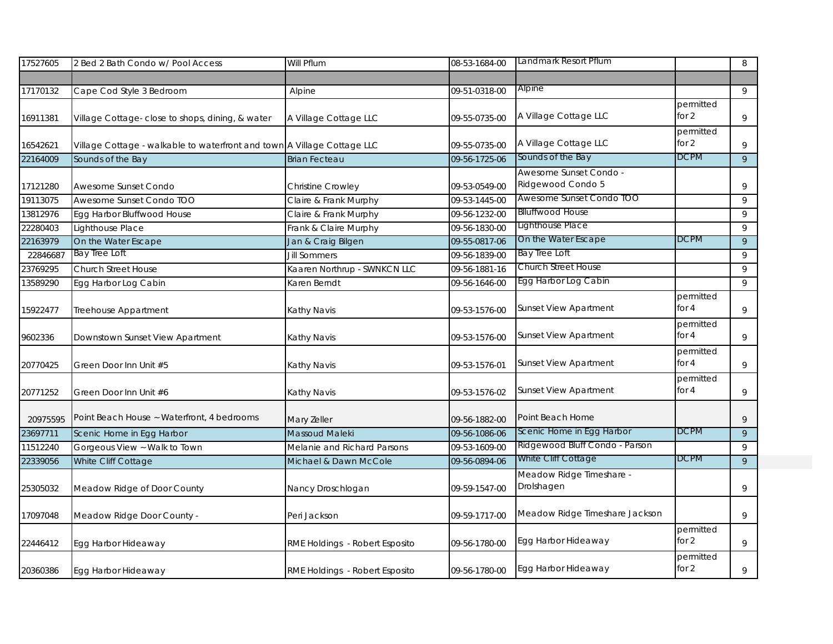| 17527605 | 2 Bed 2 Bath Condo w/ Pool Access                                       | Will Pflum                     | 08-53-1684-00 | Landmark Resort Pflum                       |                      | 8              |
|----------|-------------------------------------------------------------------------|--------------------------------|---------------|---------------------------------------------|----------------------|----------------|
|          |                                                                         |                                |               |                                             |                      |                |
| 17170132 | Cape Cod Style 3 Bedroom                                                | Alpine                         | 09-51-0318-00 | Alpine                                      |                      | 9              |
| 16911381 | Village Cottage- close to shops, dining, & water                        | A Village Cottage LLC          | 09-55-0735-00 | A Village Cottage LLC                       | permitted<br>for $2$ | 9              |
| 16542621 | Village Cottage - walkable to waterfront and town A Village Cottage LLC |                                | 09-55-0735-00 | A Village Cottage LLC                       | permitted<br>for $2$ | 9              |
| 22164009 | Sounds of the Bay                                                       | <b>Brian Fecteau</b>           | 09-56-1725-06 | Sounds of the Bay                           | <b>DCPM</b>          | 9              |
| 17121280 | Awesome Sunset Condo                                                    | Christine Crowley              | 09-53-0549-00 | Awesome Sunset Condo -<br>Ridgewood Condo 5 |                      | 9              |
| 19113075 | Awesome Sunset Condo TOO                                                | Claire & Frank Murphy          | 09-53-1445-00 | Awesome Sunset Condo TOO                    |                      | 9              |
| 13812976 | Egg Harbor Bluffwood House                                              | Claire & Frank Murphy          | 09-56-1232-00 | <b>Blluffwood House</b>                     |                      | 9              |
| 22280403 | Lighthouse Place                                                        | Frank & Claire Murphy          | 09-56-1830-00 | Lighthouse Place                            |                      | 9              |
| 22163979 | On the Water Escape                                                     | Jan & Craig Bilgen             | 09-55-0817-06 | On the Water Escape                         | DCPM                 | 9              |
| 22846687 | Bay Tree Loft                                                           | <b>Jill Sommers</b>            | 09-56-1839-00 | Bay Tree Loft                               |                      | 9              |
| 23769295 | <b>Church Street House</b>                                              | Kaaren Northrup - SWNKCN LLC   | 09-56-1881-16 | <b>Church Street House</b>                  |                      | 9              |
| 13589290 | Egg Harbor Log Cabin                                                    | Karen Berndt                   | 09-56-1646-00 | Egg Harbor Log Cabin                        |                      | 9              |
| 15922477 | Treehouse Appartment                                                    | Kathy Navis                    | 09-53-1576-00 | <b>Sunset View Apartment</b>                | permitted<br>for $4$ | 9              |
| 9602336  | Downstown Sunset View Apartment                                         | Kathy Navis                    | 09-53-1576-00 | <b>Sunset View Apartment</b>                | permitted<br>for $4$ | 9              |
| 20770425 | Green Door Inn Unit #5                                                  | Kathy Navis                    | 09-53-1576-01 | Sunset View Apartment                       | permitted<br>for $4$ | 9              |
| 20771252 | Green Door Inn Unit #6                                                  | Kathy Navis                    | 09-53-1576-02 | <b>Sunset View Apartment</b>                | permitted<br>for 4   | 9              |
| 20975595 | Point Beach House ~ Waterfront, 4 bedrooms                              | Mary Zeller                    | 09-56-1882-00 | Point Beach Home                            |                      | 9              |
| 23697711 | Scenic Home in Egg Harbor                                               | Massoud Maleki                 | 09-56-1086-06 | Scenic Home in Egg Harbor                   | <b>DCPM</b>          | $\overline{9}$ |
| 11512240 | Gorgeous View ~ Walk to Town                                            | Melanie and Richard Parsons    | 09-53-1609-00 | Ridgewood Bluff Condo - Parson              |                      | 9              |
| 22339056 | White Cliff Cottage                                                     | Michael & Dawn McCole          | 09-56-0894-06 | White Cliff Cottage                         | <b>DCPM</b>          | 9              |
| 25305032 | Meadow Ridge of Door County                                             | Nancy Droschlogan              | 09-59-1547-00 | Meadow Ridge Timeshare -<br>Drolshagen      |                      | 9              |
| 17097048 | Meadow Ridge Door County -                                              | Peri Jackson                   | 09-59-1717-00 | Meadow Ridge Timeshare Jackson              |                      | 9              |
| 22446412 | Egg Harbor Hideaway                                                     | RME Holdings - Robert Esposito | 09-56-1780-00 | Egg Harbor Hideaway                         | permitted<br>for $2$ | 9              |
| 20360386 | Egg Harbor Hideaway                                                     | RME Holdings - Robert Esposito | 09-56-1780-00 | Egg Harbor Hideaway                         | permitted<br>for 2   | 9              |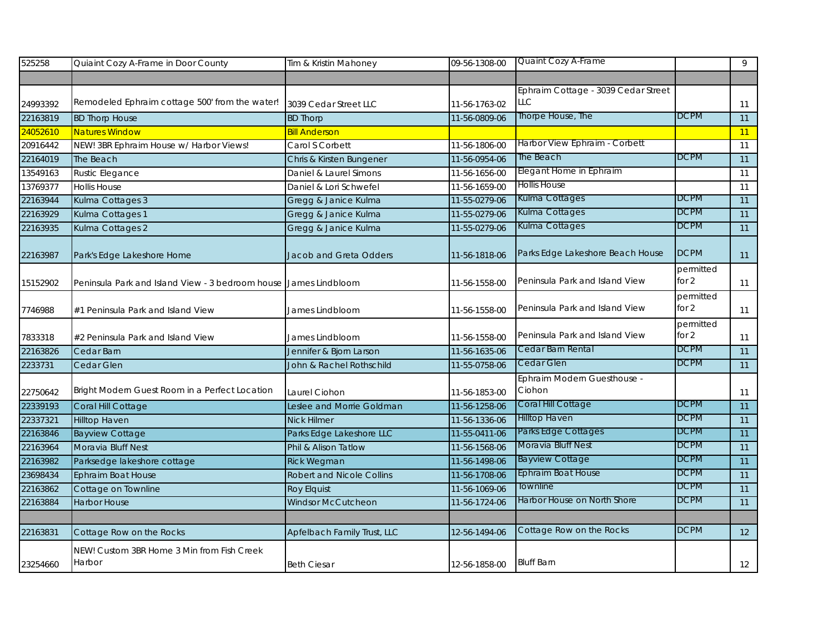| 525258   | Quiaint Cozy A-Frame in Door County                              | Tim & Kristin Mahoney            | 09-56-1308-00 | Quaint Cozy A-Frame                 |             | 9  |
|----------|------------------------------------------------------------------|----------------------------------|---------------|-------------------------------------|-------------|----|
|          |                                                                  |                                  |               |                                     |             |    |
|          |                                                                  |                                  |               | Ephraim Cottage - 3039 Cedar Street |             |    |
| 24993392 | Remodeled Ephraim cottage 500' from the water!                   | 3039 Cedar Street LLC            | 11-56-1763-02 | LLC                                 |             | 11 |
| 22163819 | <b>BD Thorp House</b>                                            | <b>BD Thorp</b>                  | 11-56-0809-06 | Thorpe House, The                   | <b>DCPM</b> | 11 |
| 24052610 | <b>Natures Window</b>                                            | <b>Bill Anderson</b>             |               |                                     |             | 11 |
| 20916442 | NEW! 3BR Ephraim House w/ Harbor Views!                          | Carol S Corbett                  | 11-56-1806-00 | Harbor View Ephraim - Corbett       |             | 11 |
| 22164019 | The Beach                                                        | Chris & Kirsten Bungener         | 11-56-0954-06 | The Beach                           | <b>DCPM</b> | 11 |
| 13549163 | <b>Rustic Elegance</b>                                           | Daniel & Laurel Simons           | 11-56-1656-00 | Elegant Home in Ephraim             |             | 11 |
| 13769377 | <b>Hollis House</b>                                              | Daniel & Lori Schwefel           | 11-56-1659-00 | <b>Hollis House</b>                 |             | 11 |
| 22163944 | Kulma Cottages 3                                                 | Gregg & Janice Kulma             | 11-55-0279-06 | Kulma Cottages                      | <b>DCPM</b> | 11 |
| 22163929 | Kulma Cottages 1                                                 | Gregg & Janice Kulma             | 11-55-0279-06 | Kulma Cottages                      | <b>DCPM</b> | 11 |
| 22163935 | Kulma Cottages 2                                                 | Gregg & Janice Kulma             | 11-55-0279-06 | Kulma Cottages                      | <b>DCPM</b> | 11 |
|          |                                                                  |                                  |               |                                     |             |    |
| 22163987 | Park's Edge Lakeshore Home                                       | Jacob and Greta Odders           | 11-56-1818-06 | Parks Edge Lakeshore Beach House    | <b>DCPM</b> | 11 |
|          |                                                                  |                                  |               |                                     | permitted   |    |
| 15152902 | Peninsula Park and Island View - 3 bedroom house James Lindbloom |                                  | 11-56-1558-00 | Peninsula Park and Island View      | for $2$     | 11 |
|          |                                                                  |                                  |               |                                     | permitted   |    |
| 7746988  | #1 Peninsula Park and Island View                                | James Lindbloom                  | 11-56-1558-00 | Peninsula Park and Island View      | for $2$     | 11 |
|          |                                                                  |                                  |               |                                     | permitted   |    |
| 7833318  | #2 Peninsula Park and Island View                                | James Lindbloom                  | 11-56-1558-00 | Peninsula Park and Island View      | for 2       | 11 |
| 22163826 | Cedar Barn                                                       | Jennifer & Bjorn Larson          | 11-56-1635-06 | Cedar Barn Rental                   | <b>DCPM</b> | 11 |
| 2233731  | Cedar Glen                                                       | John & Rachel Rothschild         | 11-55-0758-06 | Cedar Glen                          | <b>DCPM</b> | 11 |
|          |                                                                  |                                  |               | Ephraim Modern Guesthouse -         |             |    |
| 22750642 | Bright Modern Guest Room in a Perfect Location                   | Laurel Ciohon                    | 11-56-1853-00 | Ciohon                              |             | 11 |
| 22339193 | Coral Hill Cottage                                               | Leslee and Morrie Goldman        | 11-56-1258-06 | Coral Hill Cottage                  | <b>DCPM</b> | 11 |
| 22337321 | <b>Hilltop Haven</b>                                             | <b>Nick Hilmer</b>               | 11-56-1336-06 | <b>Hilltop Haven</b>                | <b>DCPM</b> | 11 |
| 22163846 | <b>Bayview Cottage</b>                                           | Parks Edge Lakeshore LLC         | 11-55-0411-06 | Parks Edge Cottages                 | <b>DCPM</b> | 11 |
| 22163964 | Moravia Bluff Nest                                               | Phil & Alison Tatlow             | 11-56-1568-06 | Moravia Bluff Nest                  | <b>DCPM</b> | 11 |
| 22163982 | Parksedge lakeshore cottage                                      | <b>Rick Wegman</b>               | 11-56-1498-06 | <b>Bayview Cottage</b>              | <b>DCPM</b> | 11 |
| 23698434 | Ephraim Boat House                                               | <b>Robert and Nicole Collins</b> | 11-56-1708-06 | Ephraim Boat House                  | <b>DCPM</b> | 11 |
| 22163862 | Cottage on Townline                                              | <b>Roy Elquist</b>               | 11-56-1069-06 | Townline                            | <b>DCPM</b> | 11 |
| 22163884 | <b>Harbor House</b>                                              | <b>Windsor McCutcheon</b>        | 11-56-1724-06 | Harbor House on North Shore         | <b>DCPM</b> | 11 |
|          |                                                                  |                                  |               |                                     |             |    |
| 22163831 | Cottage Row on the Rocks                                         | Apfelbach Family Trust, LLC      | 12-56-1494-06 | Cottage Row on the Rocks            | <b>DCPM</b> | 12 |
|          | NEW! Custom 3BR Home 3 Min from Fish Creek                       |                                  |               |                                     |             |    |
| 23254660 | Harbor                                                           | <b>Beth Ciesar</b>               | 12-56-1858-00 | <b>Bluff Barn</b>                   |             | 12 |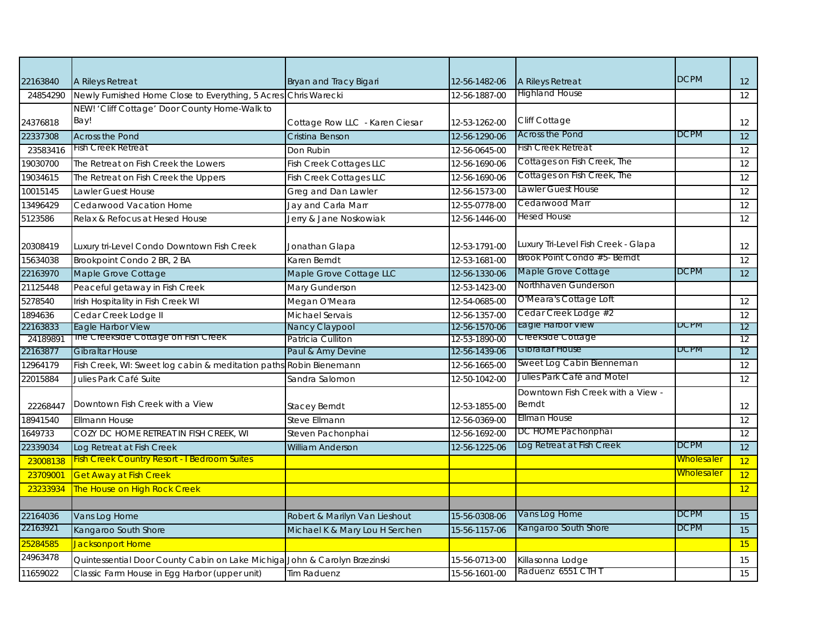| 22163840 | A Rileys Retreat                                                   | Bryan and Tracy Bigari         | 12-56-1482-06 | A Rileys Retreat                                   | <b>DCPM</b>       | 12 <sup>2</sup> |
|----------|--------------------------------------------------------------------|--------------------------------|---------------|----------------------------------------------------|-------------------|-----------------|
| 24854290 | Newly Furnished Home Close to Everything, 5 Acre.                  | Chris Warecki                  | 12-56-1887-00 | <b>Highland House</b>                              |                   | 12              |
|          | NEW! 'Cliff Cottage' Door County Home-Walk to                      |                                |               |                                                    |                   |                 |
| 24376818 | Bay!                                                               | Cottage Row LLC - Karen Ciesar | 12-53-1262-00 | <b>Cliff Cottage</b>                               |                   | 12              |
| 22337308 | <b>Across the Pond</b>                                             | Cristina Benson                | 12-56-1290-06 | <b>Across the Pond</b>                             | <b>DCPM</b>       | 12              |
| 23583416 | Fish Creek Retreat                                                 | Don Rubin                      | 12-56-0645-00 | Fish Creek Retreat                                 |                   | 12              |
| 19030700 | The Retreat on Fish Creek the Lowers                               | <b>Fish Creek Cottages LLC</b> | 12-56-1690-06 | Cottages on Fish Creek, The                        |                   | 12              |
| 19034615 | The Retreat on Fish Creek the Uppers                               | <b>Fish Creek Cottages LLC</b> | 12-56-1690-06 | Cottages on Fish Creek, The                        |                   | $\overline{12}$ |
| 10015145 | Lawler Guest House                                                 | Greg and Dan Lawler            | 12-56-1573-00 | Lawler Guest House                                 |                   | 12              |
| 13496429 | Cedarwood Vacation Home                                            | Jay and Carla Marr             | 12-55-0778-00 | Cedarwood Marr                                     |                   | 12              |
| 5123586  | Relax & Refocus at Hesed House                                     | Jerry & Jane Noskowiak         | 12-56-1446-00 | Hesed House                                        |                   | 12              |
|          |                                                                    |                                |               |                                                    |                   |                 |
| 20308419 | Luxury tri-Level Condo Downtown Fish Creek                         | Jonathan Glapa                 | 12-53-1791-00 | Luxury Tri-Level Fish Creek - Glapa                |                   | 12              |
| 15634038 | Brookpoint Condo 2 BR, 2 BA                                        | Karen Berndt                   | 12-53-1681-00 | Brook Point Condo #5- Berndt                       |                   | $\overline{12}$ |
| 22163970 | Maple Grove Cottage                                                | Maple Grove Cottage LLC        | 12-56-1330-06 | Maple Grove Cottage                                | <b>DCPM</b>       | 12              |
| 21125448 | Peaceful getaway in Fish Creek                                     | Mary Gunderson                 | 12-53-1423-00 | Northhaven Gunderson                               |                   |                 |
| 5278540  | Irish Hospitality in Fish Creek WI                                 | Megan O'Meara                  | 12-54-0685-00 | O'Meara's Cottage Loft                             |                   | 12              |
| 1894636  | Cedar Creek Lodge II                                               | Michael Servais                | 12-56-1357-00 | Cedar Creek Lodge #2                               |                   | 12              |
| 22163833 | Eagle Harbor View                                                  | Nancy Claypool                 | 12-56-1570-06 | Eagle Harbor View                                  | <b>DCPM</b>       | 12              |
| 24189891 | The Creekside Cottage on Fish Creek                                | Patricia Culliton              | 12-53-1890-00 | Creekside Cottage                                  |                   | 12              |
| 22163877 | <b>Gibraltar House</b>                                             | Paul & Amy Devine              | 12-56-1439-06 | Gibraitar House                                    | <b>DCPM</b>       | 12              |
| 12964179 | Fish Creek, WI: Sweet log cabin & meditation paths Robin Bienemann |                                | 12-56-1665-00 | Sweet Log Cabin Bienneman                          |                   | 12              |
| 22015884 | Julies Park Café Suite                                             | Sandra Salomon                 | 12-50-1042-00 | Julies Park Café and Motel                         |                   | 12              |
| 22268447 | Downtown Fish Creek with a View                                    | <b>Stacey Berndt</b>           | 12-53-1855-00 | Downtown Fish Creek with a View -<br><b>Berndt</b> |                   | 12              |
| 18941540 | <b>Ellmann House</b>                                               | Steve Ellmann                  | 12-56-0369-00 | <b>Ellman House</b>                                |                   | 12              |
| 1649733  | COZY DC HOME RETREAT IN FISH CREEK, WI                             | Steven Pachonphai              | 12-56-1692-00 | DC HOME Pachonphai                                 |                   | 12              |
| 22339034 | Log Retreat at Fish Creek                                          | <b>William Anderson</b>        | 12-56-1225-06 | Log Retreat at Fish Creek                          | <b>DCPM</b>       | 12              |
| 23008138 | <b>Fish Creek Country Resort - I Bedroom Suites</b>                |                                |               |                                                    | <b>Wholesaler</b> | 12              |
| 23709001 | <b>Get Away at Fish Creek</b>                                      |                                |               |                                                    | <b>Wholesaler</b> | 12              |
| 23233934 | The House on High Rock Creek                                       |                                |               |                                                    |                   | 12              |
|          |                                                                    |                                |               |                                                    |                   |                 |
| 22164036 | Vans Log Home                                                      | Robert & Marilyn Van Lieshout  | 15-56-0308-06 | Vans Log Home                                      | <b>DCPM</b>       | 15              |
| 22163921 | Kangaroo South Shore                                               | Michael K & Mary Lou H Serchen | 15-56-1157-06 | Kangaroo South Shore                               | <b>DCPM</b>       | 15              |
| 25284585 | Jacksonport Home                                                   |                                |               |                                                    |                   | 15              |
| 24963478 | Quintessential Door County Cabin on Lake Michiga                   | John & Carolyn Brzezinski      | 15-56-0713-00 | Killasonna Lodge                                   |                   | 15              |
| 11659022 | Classic Farm House in Egg Harbor (upper unit)                      | <b>Tim Raduenz</b>             | 15-56-1601-00 | Raduenz 6551 CTH T                                 |                   | 15              |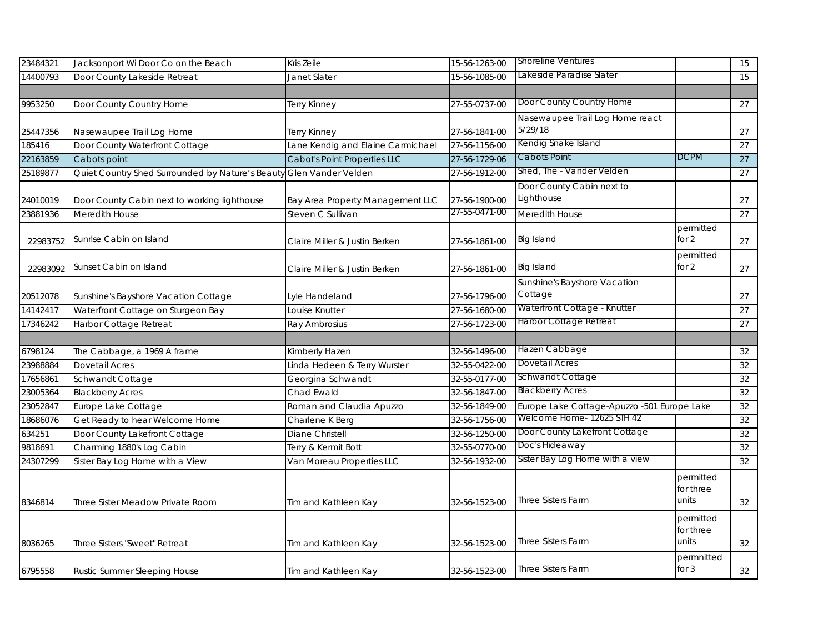| 23484321 | Jacksonport Wi Door Co on the Beach                                 | Kris Zeile                        | 15-56-1263-00 | <b>Shoreline Ventures</b>                   |                                 | 15 |
|----------|---------------------------------------------------------------------|-----------------------------------|---------------|---------------------------------------------|---------------------------------|----|
| 14400793 | Door County Lakeside Retreat                                        | Janet Slater                      | 15-56-1085-00 | Lakeside Paradise Slater                    |                                 | 15 |
|          |                                                                     |                                   |               |                                             |                                 |    |
| 9953250  | Door County Country Home                                            | Terry Kinney                      | 27-55-0737-00 | Door County Country Home                    |                                 | 27 |
| 25447356 | Nasewaupee Trail Log Home                                           | Terry Kinney                      | 27-56-1841-00 | Nasewaupee Trail Log Home react<br>5/29/18  |                                 | 27 |
| 185416   | Door County Waterfront Cottage                                      | Lane Kendig and Elaine Carmichael | 27-56-1156-00 | Kendig Snake Island                         |                                 | 27 |
| 22163859 | Cabots point                                                        | Cabot's Point Properties LLC      | 27-56-1729-06 | Cabots Point                                | DCPM                            | 27 |
| 25189877 | Quiet Country Shed Surrounded by Nature's Beauty Glen Vander Velden |                                   | 27-56-1912-00 | Shed, The - Vander Velden                   |                                 | 27 |
| 24010019 | Door County Cabin next to working lighthouse                        | Bay Area Property Management LLC  | 27-56-1900-00 | Door County Cabin next to<br>Lighthouse     |                                 | 27 |
| 23881936 | Meredith House                                                      | Steven C Sullivan                 | 27-55-0471-00 | Meredith House                              |                                 | 27 |
| 22983752 | Sunrise Cabin on Island                                             | Claire Miller & Justin Berken     | 27-56-1861-00 | Big Island                                  | permitted<br>for 2              | 27 |
| 22983092 | Sunset Cabin on Island                                              | Claire Miller & Justin Berken     | 27-56-1861-00 | Big Island                                  | permitted<br>for 2              | 27 |
| 20512078 | Sunshine's Bayshore Vacation Cottage                                | Lyle Handeland                    | 27-56-1796-00 | Sunshine's Bayshore Vacation<br>Cottage     |                                 | 27 |
| 14142417 | Waterfront Cottage on Sturgeon Bay                                  | ouise Knutter                     | 27-56-1680-00 | Waterfront Cottage - Knutter                |                                 | 27 |
| 17346242 | Harbor Cottage Retreat                                              | Ray Ambrosius                     | 27-56-1723-00 | <b>Harbor Cottage Retreat</b>               |                                 | 27 |
|          |                                                                     |                                   |               |                                             |                                 |    |
| 6798124  | The Cabbage, a 1969 A frame                                         | Kimberly Hazen                    | 32-56-1496-00 | Hazen Cabbage                               |                                 | 32 |
| 23988884 | <b>Dovetail Acres</b>                                               | Linda Hedeen & Terry Wurster      | 32-55-0422-00 | Dovetail Acres                              |                                 | 32 |
| 17656861 | Schwandt Cottage                                                    | Georgina Schwandt                 | 32-55-0177-00 | Schwandt Cottage                            |                                 | 32 |
| 23005364 | <b>Blackberry Acres</b>                                             | Chad Ewald                        | 32-56-1847-00 | <b>Blackberry Acres</b>                     |                                 | 32 |
| 23052847 | Europe Lake Cottage                                                 | Roman and Claudia Apuzzo          | 32-56-1849-00 | Europe Lake Cottage-Apuzzo -501 Europe Lake |                                 | 32 |
| 18686076 | Get Ready to hear Welcome Home                                      | Charlene K Berg                   | 32-56-1756-00 | Welcome Home- 12625 STH 42                  |                                 | 32 |
| 634251   | Door County Lakefront Cottage                                       | Diane Christell                   | 32-56-1250-00 | Door County Lakefront Cottage               |                                 | 32 |
| 9818691  | Charming 1880's Log Cabin                                           | Terry & Kermit Bott               | 32-55-0770-00 | Doc's Hideaway                              |                                 | 32 |
| 24307299 | Sister Bay Log Home with a View                                     | Van Moreau Properties LLC         | 32-56-1932-00 | Sister Bay Log Home with a view             |                                 | 32 |
| 8346814  | Three Sister Meadow Private Room                                    | Tim and Kathleen Kay              | 32-56-1523-00 | <b>Three Sisters Farm</b>                   | permitted<br>for three<br>units | 32 |
| 8036265  | Three Sisters "Sweet" Retreat                                       | Tim and Kathleen Kay              | 32-56-1523-00 | <b>Three Sisters Farm</b>                   | permitted<br>for three<br>units | 32 |
| 6795558  | Rustic Summer Sleeping House                                        | Tim and Kathleen Kay              | 32-56-1523-00 | <b>Three Sisters Farm</b>                   | permnitted<br>for $3$           | 32 |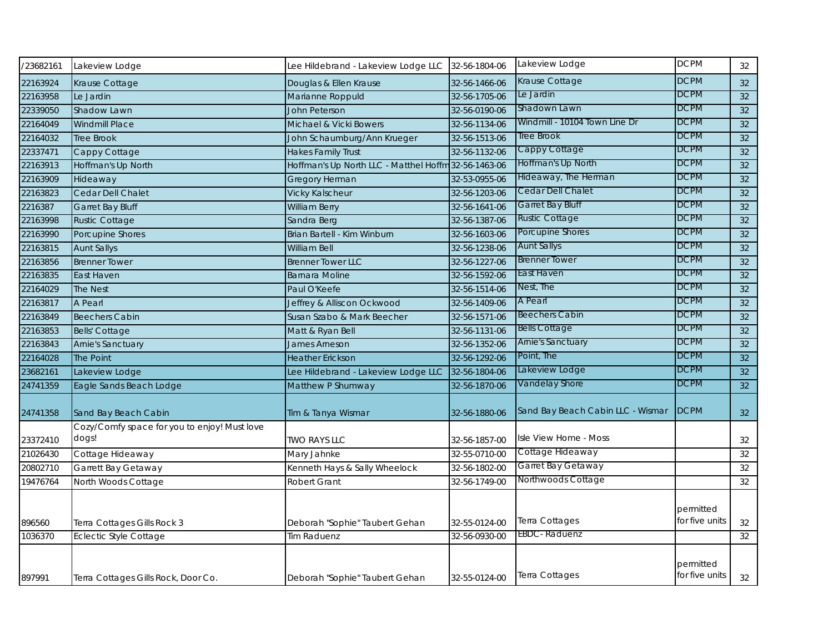| /23682161 | Lakeview Lodge                               | Lee Hildebrand - Lakeview Lodge LLC    | 32-56-1804-06 | Lakeview Lodge                    | <b>DCPM</b>                 | 32              |
|-----------|----------------------------------------------|----------------------------------------|---------------|-----------------------------------|-----------------------------|-----------------|
| 22163924  | Krause Cottage                               | Douglas & Ellen Krause                 | 32-56-1466-06 | Krause Cottage                    | <b>DCPM</b>                 | 32 <sup>2</sup> |
| 22163958  | Le Jardin                                    | Marianne Roppuld                       | 32-56-1705-06 | Le Jardin                         | <b>DCPM</b>                 | 32              |
| 22339050  | Shadow Lawn                                  | <b>John Peterson</b>                   | 32-56-0190-06 | Shadown Lawn                      | DCPM                        | 32              |
| 22164049  | <b>Windmill Place</b>                        | Michael & Vicki Bowers                 | 32-56-1134-06 | Windmill - 10104 Town Line Dr     | <b>DCPM</b>                 | 32              |
| 22164032  | <b>Tree Brook</b>                            | John Schaumburg/Ann Krueger            | 32-56-1513-06 | Tree Brook                        | DCPM                        | 32              |
| 22337471  | Cappy Cottage                                | <b>Hakes Family Trust</b>              | 32-56-1132-06 | Cappy Cottage                     | <b>DCPM</b>                 | 32              |
| 22163913  | Hoffman's Up North                           | Hoffman's Up North LLC - Matthel Hoffm | 32-56-1463-06 | Hoffman's Up North                | <b>DCPM</b>                 | 32              |
| 22163909  | Hideaway                                     | <b>Gregory Herman</b>                  | 32-53-0955-06 | Hideaway, The Herman              | DCPM                        | 32              |
| 22163823  | Cedar Dell Chalet                            | <b>Vicky Kalscheur</b>                 | 32-56-1203-06 | Cedar Dell Chalet                 | DCPM                        | 32              |
| 2216387   | <b>Garret Bay Bluff</b>                      | <b>William Berry</b>                   | 32-56-1641-06 | Garret Bay Bluff                  | DCPM                        | 32              |
| 22163998  | <b>Rustic Cottage</b>                        | Sandra Berg                            | 32-56-1387-06 | <b>Rustic Cottage</b>             | DCPM                        | $\overline{32}$ |
| 22163990  | Porcupine Shores                             | Brian Bartell - Kim Winburn            | 32-56-1603-06 | Porcupine Shores                  | <b>DCPM</b>                 | 32              |
| 22163815  | <b>Aunt Sallys</b>                           | William Bell                           | 32-56-1238-06 | <b>Aunt Sallys</b>                | <b>DCPM</b>                 | $32\,$          |
| 22163856  | <b>Brenner Tower</b>                         | <b>Brenner Tower LLC</b>               | 32-56-1227-06 | <b>Brenner Tower</b>              | <b>DCPM</b>                 | 32              |
| 22163835  | East Haven                                   | <b>Barnara Moline</b>                  | 32-56-1592-06 | East Haven                        | DCPM                        | 32              |
| 22164029  | <b>The Nest</b>                              | Paul O'Keefe                           | 32-56-1514-06 | Nest, The                         | DCPM                        | 32              |
| 22163817  | A Pearl                                      | Jeffrey & Alliscon Ockwood             | 32-56-1409-06 | A Pearl                           | DCPM                        | 32              |
| 22163849  | <b>Beechers Cabin</b>                        | Susan Szabo & Mark Beecher             | 32-56-1571-06 | <b>Beechers Cabin</b>             | DCPM                        | 32              |
| 22163853  | <b>Bells' Cottage</b>                        | Matt & Ryan Bell                       | 32-56-1131-06 | <b>Bells Cottage</b>              | DCPM                        | 32              |
| 22163843  | Arnie's Sanctuary                            | <b>James Arneson</b>                   | 32-56-1352-06 | <b>Arnie's Sanctuary</b>          | DCPM                        | 32              |
| 22164028  | The Point                                    | <b>Heather Erickson</b>                | 32-56-1292-06 | Point, The                        | DCPM                        | $\overline{32}$ |
| 23682161  | Lakeview Lodge                               | Lee Hildebrand - Lakeview Lodge LLC    | 32-56-1804-06 | Lakeview Lodge                    | <b>DCPM</b>                 | 32              |
| 24741359  | Eagle Sands Beach Lodge                      | Matthew P Shumway                      | 32-56-1870-06 | Vandelay Shore                    | <b>DCPM</b>                 | 32 <sup>2</sup> |
| 24741358  | Sand Bay Beach Cabin                         | Tim & Tanya Wismar                     | 32-56-1880-06 | Sand Bay Beach Cabin LLC - Wismar | <b>DCPM</b>                 | 32              |
|           | Cozy/Comfy space for you to enjoy! Must love |                                        |               |                                   |                             |                 |
| 23372410  | dogs!                                        | <b>TWO RAYS LLC</b>                    | 32-56-1857-00 | Isle View Home - Moss             |                             | 32              |
| 21026430  | Cottage Hideaway                             | Mary Jahnke                            | 32-55-0710-00 | Cottage Hideaway                  |                             | 32              |
| 20802710  | Garrett Bay Getaway                          | Kenneth Hays & Sally Wheelock          | 32-56-1802-00 | Garret Bay Getaway                |                             | 32              |
| 19476764  | North Woods Cottage                          | <b>Robert Grant</b>                    | 32-56-1749-00 | Northwoods Cottage                |                             | 32              |
|           |                                              |                                        |               |                                   | permitted                   |                 |
| 896560    | Terra Cottages Gills Rock 3                  | Deborah "Sophie" Taubert Gehan         | 32-55-0124-00 | Terra Cottages                    | for five units              | 32              |
| 1036370   | <b>Eclectic Style Cottage</b>                | <b>Tim Raduenz</b>                     | 32-56-0930-00 | <b>EBDC</b> - Raduenz             |                             | 32              |
| 897991    | Terra Cottages Gills Rock, Door Co.          | Deborah "Sophie" Taubert Gehan         | 32-55-0124-00 | Terra Cottages                    | permitted<br>for five units | 32              |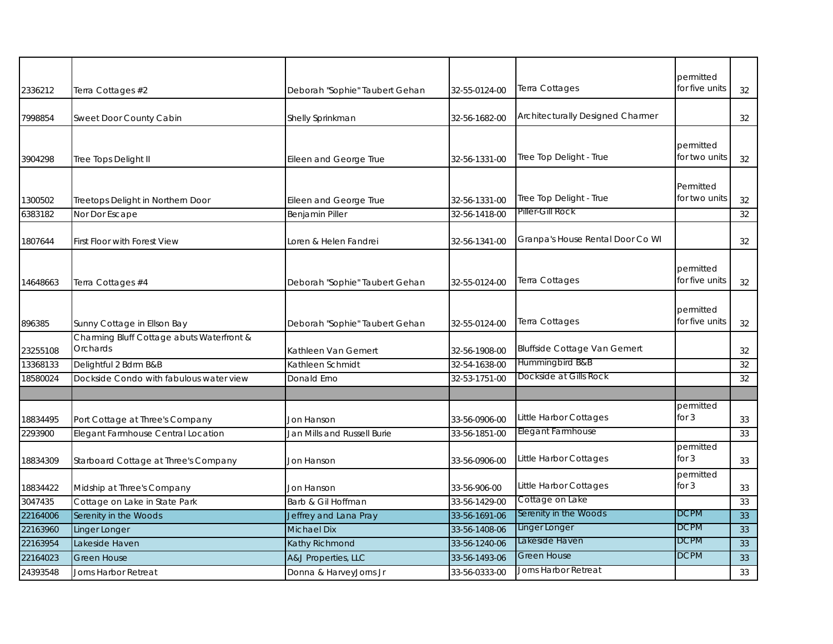|          |                                                       |                                |               |                                     | permitted                   |    |
|----------|-------------------------------------------------------|--------------------------------|---------------|-------------------------------------|-----------------------------|----|
| 2336212  | Terra Cottages #2                                     | Deborah "Sophie" Taubert Gehan | 32-55-0124-00 | Terra Cottages                      | for five units              | 32 |
| 7998854  | Sweet Door County Cabin                               | Shelly Sprinkman               | 32-56-1682-00 | Architecturally Designed Charmer    |                             | 32 |
| 3904298  | Tree Tops Delight II                                  | Eileen and George True         | 32-56-1331-00 | Tree Top Delight - True             | permitted<br>for two units  | 32 |
| 1300502  | Treetops Delight in Northern Door                     | Eileen and George True         | 32-56-1331-00 | Tree Top Delight - True             | Permitted<br>for two units  | 32 |
| 6383182  | Nor Dor Escape                                        | <b>Benjamin Piller</b>         | 32-56-1418-00 | Piller-Gill Rock                    |                             | 32 |
| 1807644  | First Floor with Forest View                          | Loren & Helen Fandrei          | 32-56-1341-00 | Granpa's House Rental Door Co WI    |                             | 32 |
| 14648663 | Terra Cottages #4                                     | Deborah "Sophie" Taubert Gehan | 32-55-0124-00 | Terra Cottages                      | permitted<br>for five units | 32 |
| 896385   | Sunny Cottage in Ellson Bay                           | Deborah "Sophie" Taubert Gehan | 32-55-0124-00 | Terra Cottages                      | permitted<br>for five units | 32 |
| 23255108 | Charming Bluff Cottage abuts Waterfront &<br>Orchards | Kathleen Van Gemert            | 32-56-1908-00 | <b>Bluffside Cottage Van Gemert</b> |                             | 32 |
| 13368133 | Delightful 2 Bdrm B&B                                 | Kathleen Schmidt               | 32-54-1638-00 | Hummingbird B&B                     |                             | 32 |
| 18580024 | Dockside Condo with fabulous water view               | Donald Erno                    | 32-53-1751-00 | Dockside at Gills Rock              |                             | 32 |
|          |                                                       |                                |               |                                     |                             |    |
| 18834495 | Port Cottage at Three's Company                       | <b>Jon Hanson</b>              | 33-56-0906-00 | Little Harbor Cottages              | permitted<br>for $3$        | 33 |
| 2293900  | Elegant Farmhouse Central Location                    | Jan Mills and Russell Burie    | 33-56-1851-00 | <b>Elegant Farmhouse</b>            |                             | 33 |
| 18834309 | Starboard Cottage at Three's Company                  | Jon Hanson                     | 33-56-0906-00 | Little Harbor Cottages              | permitted<br>for $3$        | 33 |
| 18834422 | Midship at Three's Company                            | <b>Jon Hanson</b>              | 33-56-906-00  | Little Harbor Cottages              | permitted<br>for $3$        | 33 |
| 3047435  | Cottage on Lake in State Park                         | Barb & Gil Hoffman             | 33-56-1429-00 | Cottage on Lake                     |                             | 33 |
| 22164006 | Serenity in the Woods                                 | Jeffrey and Lana Pray          | 33-56-1691-06 | Serenity in the Woods               | <b>DCPM</b>                 | 33 |
| 22163960 | Linger Longer                                         | <b>Michael Dix</b>             | 33-56-1408-06 | Linger Longer                       | <b>DCPM</b>                 | 33 |
| 22163954 | Lakeside Haven                                        | Kathy Richmond                 | 33-56-1240-06 | Lakeside Haven                      | <b>DCPM</b>                 | 33 |
| 22164023 | <b>Green House</b>                                    | A&J Properties, LLC            | 33-56-1493-06 | <b>Green House</b>                  | <b>DCPM</b>                 | 33 |
| 24393548 | Jorns Harbor Retreat                                  | Donna & HarveyJorns Jr         | 33-56-0333-00 | Jorns Harbor Retreat                |                             | 33 |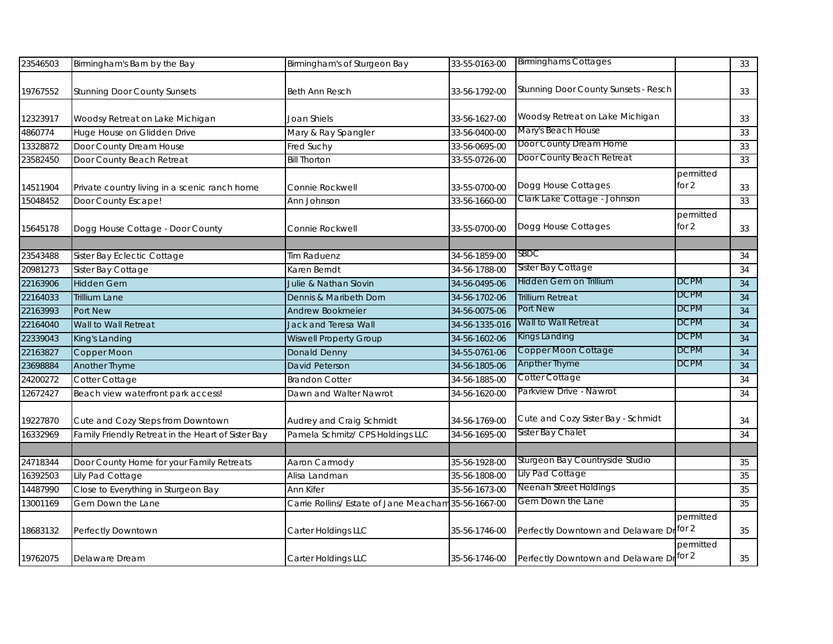| 23546503 | Birmingham's Barn by the Bay                       | Birmingham's of Sturgeon Bay           | 33-55-0163-00  | <b>Birminghams Cottages</b>              |                    | 33              |
|----------|----------------------------------------------------|----------------------------------------|----------------|------------------------------------------|--------------------|-----------------|
| 19767552 | <b>Stunning Door County Sunsets</b>                | Beth Ann Resch                         | 33-56-1792-00  | Stunning Door County Sunsets - Resch     |                    | 33              |
| 12323917 | Woodsy Retreat on Lake Michigan                    | Joan Shiels                            | 33-56-1627-00  | Woodsy Retreat on Lake Michigan          |                    | 33              |
| 4860774  | Huge House on Glidden Drive                        | Mary & Ray Spangler                    | 33-56-0400-00  | Mary's Beach House                       |                    | 33              |
| 13328872 | Door County Dream House                            | Fred Suchy                             | 33-56-0695-00  | Door County Dream Home                   |                    | 33              |
| 23582450 | Door County Beach Retreat                          | <b>Bill Thorton</b>                    | 33-55-0726-00  | Door County Beach Retreat                |                    | 33              |
| 14511904 | Private country living in a scenic ranch home      | Connie Rockwell                        | 33-55-0700-00  | Dogg House Cottages                      | permitted<br>for 2 | 33              |
| 15048452 | Door County Escape!                                | Ann Johnson                            | 33-56-1660-00  | Clark Lake Cottage - Johnson             |                    | 33              |
| 15645178 | Dogg House Cottage - Door County                   | Connie Rockwell                        | 33-55-0700-00  | Dogg House Cottages                      | permitted<br>for 2 | 33              |
| 23543488 | Sister Bay Eclectic Cottage                        | Tim Raduenz                            | 34-56-1859-00  | SBDC                                     |                    | 34              |
| 20981273 | Sister Bay Cottage                                 | Karen Berndt                           | 34-56-1788-00  | Sister Bay Cottage                       |                    | 34              |
| 22163906 | <b>Hidden Gem</b>                                  | Julie & Nathan Slovin                  | 34-56-0495-06  | Hidden Gem on Trillium                   | <b>DCPM</b>        | 34              |
| 22164033 | <b>Trillium Lane</b>                               | Dennis & Maribeth Dorn                 | 34-56-1702-06  | Trillium Retreat                         | <b>DCPM</b>        | 34              |
| 22163993 | Port New                                           | Andrew Bookmeier                       | 34-56-0075-06  | Port New                                 | <b>DCPM</b>        | 34              |
| 22164040 | Wall to Wall Retreat                               | Jack and Teresa Wall                   | 34-56-1335-016 | Wall to Wall Retreat                     | <b>DCPM</b>        | 34              |
| 22339043 | King's Landing                                     | <b>Wiswell Property Group</b>          | 34-56-1602-06  | Kings Landing                            | <b>DCPM</b>        | 34              |
| 22163827 | Copper Moon                                        | <b>Donald Denny</b>                    | 34-55-0761-06  | Copper Moon Cottage                      | <b>DCPM</b>        | $\overline{34}$ |
| 23698884 | Another Thyme                                      | <b>David Peterson</b>                  | 34-56-1805-06  | Anpther Thyme                            | <b>DCPM</b>        | 34              |
| 24200272 | Cotter Cottage                                     | <b>Brandon Cotter</b>                  | 34-56-1885-00  | Cotter Cottage                           |                    | 34              |
| 12672427 | Beach view waterfront park access!                 | Dawn and Walter Nawrot                 | 34-56-1620-00  | Parkview Drive - Nawrot                  |                    | 34              |
| 19227870 | Cute and Cozy Steps from Downtown                  | Audrey and Craig Schmidt               | 34-56-1769-00  | Cute and Cozy Sister Bay - Schmidt       |                    | 34              |
| 16332969 | Family Friendly Retreat in the Heart of Sister Bay | Pamela Schmitz/ CPS Holdings LLC       | 34-56-1695-00  | Sister Bay Chalet                        |                    | 34              |
|          |                                                    |                                        |                |                                          |                    |                 |
| 24718344 | Door County Home for your Family Retreats          | Aaron Carmody                          | 35-56-1928-00  | Sturgeon Bay Countryside Studio          |                    | 35              |
| 16392503 | Lily Pad Cottage                                   | Alisa Landman                          | 35-56-1808-00  | Lily Pad Cottage                         |                    | 35              |
| 14487990 | Close to Everything in Sturgeon Bay                | Ann Kifer                              | 35-56-1673-00  | Neenah Street Holdings                   |                    | 35              |
| 13001169 | Gem Down the Lane                                  | Carrie Rollins/ Estate of Jane Meacham | 35-56-1667-00  | Gem Down the Lane                        |                    | 35              |
| 18683132 | Perfectly Downtown                                 | Carter Holdings LLC                    | 35-56-1746-00  | Perfectly Downtown and Delaware Dr       | permitted<br>for 2 | 35              |
| 19762075 | Delaware Dream                                     | Carter Holdings LLC                    | 35-56-1746-00  | Perfectly Downtown and Delaware Dr for 2 | permitted          | 35              |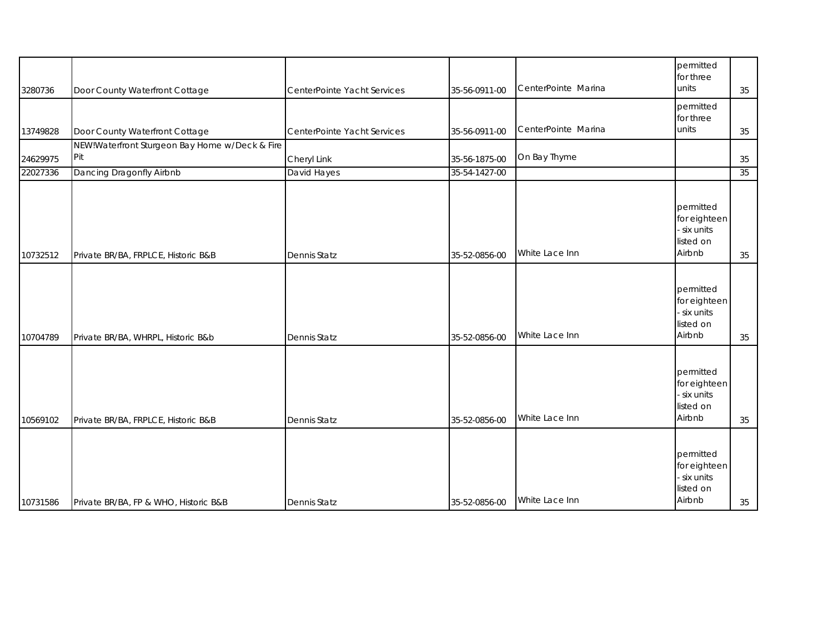| 3280736  | Door County Waterfront Cottage                        | CenterPointe Yacht Services | 35-56-0911-00 | CenterPointe Marina | permitted<br>for three<br>units                               | 35 |
|----------|-------------------------------------------------------|-----------------------------|---------------|---------------------|---------------------------------------------------------------|----|
| 13749828 | Door County Waterfront Cottage                        | CenterPointe Yacht Services | 35-56-0911-00 | CenterPointe Marina | permitted<br>for three<br>units                               | 35 |
| 24629975 | NEW!Waterfront Sturgeon Bay Home w/Deck & Fire<br>Pit | Cheryl Link                 | 35-56-1875-00 | On Bay Thyme        |                                                               | 35 |
| 22027336 | Dancing Dragonfly Airbnb                              | David Hayes                 | 35-54-1427-00 |                     |                                                               | 35 |
| 10732512 | Private BR/BA, FRPLCE, Historic B&B                   | <b>Dennis Statz</b>         | 35-52-0856-00 | White Lace Inn      | permitted<br>for eighteen<br>six units<br>listed on<br>Airbnb | 35 |
| 10704789 | Private BR/BA, WHRPL, Historic B&b                    | <b>Dennis Statz</b>         | 35-52-0856-00 | White Lace Inn      | permitted<br>for eighteen<br>six units<br>listed on<br>Airbnb | 35 |
| 10569102 | Private BR/BA, FRPLCE, Historic B&B                   | <b>Dennis Statz</b>         | 35-52-0856-00 | White Lace Inn      | permitted<br>for eighteen<br>six units<br>listed on<br>Airbnb | 35 |
| 10731586 | Private BR/BA, FP & WHO, Historic B&B                 | <b>Dennis Statz</b>         | 35-52-0856-00 | White Lace Inn      | permitted<br>for eighteen<br>six units<br>listed on<br>Airbnb | 35 |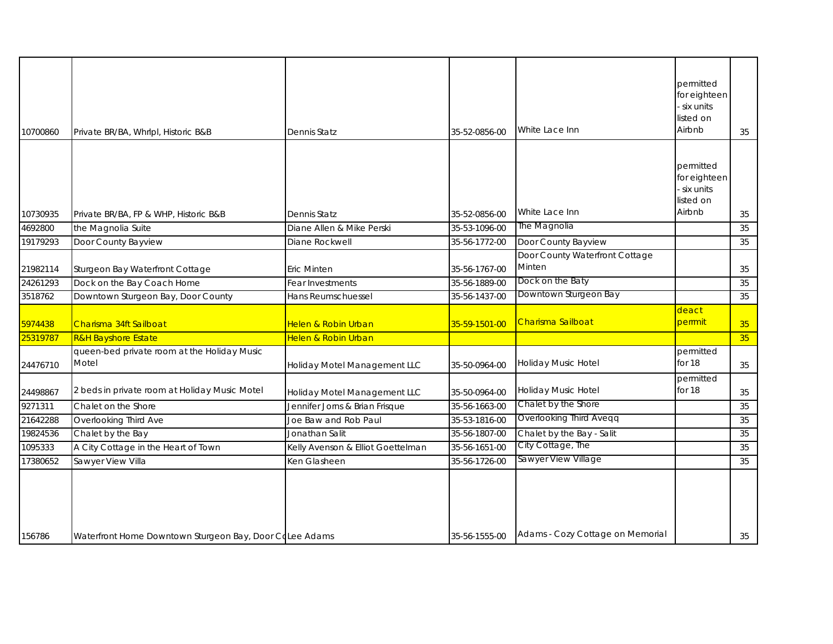| 10700860 | Private BR/BA, Whrlpl, Historic B&B                     | Dennis Statz                      | 35-52-0856-00 | White Lace Inn                           | permitted<br>for eighteen<br>six units<br>listed on<br>Airbnb   | 35 |
|----------|---------------------------------------------------------|-----------------------------------|---------------|------------------------------------------|-----------------------------------------------------------------|----|
| 10730935 | Private BR/BA, FP & WHP, Historic B&B                   | Dennis Statz                      | 35-52-0856-00 | White Lace Inn                           | permitted<br>for eighteen<br>- six units<br>listed on<br>Airbnb | 35 |
| 4692800  | the Magnolia Suite                                      | Diane Allen & Mike Perski         | 35-53-1096-00 | The Magnolia                             |                                                                 | 35 |
| 19179293 | Door County Bayview                                     | Diane Rockwell                    | 35-56-1772-00 | Door County Bayview                      |                                                                 | 35 |
| 21982114 | Sturgeon Bay Waterfront Cottage                         | Eric Minten                       | 35-56-1767-00 | Door County Waterfront Cottage<br>Minten |                                                                 | 35 |
| 24261293 | Dock on the Bay Coach Home                              | Fear Investments                  | 35-56-1889-00 | Dock on the Baty                         |                                                                 | 35 |
| 3518762  | Downtown Sturgeon Bay, Door County                      | Hans Reumschuessel                | 35-56-1437-00 | Downtown Sturgeon Bay                    |                                                                 | 35 |
| 5974438  | Charisma 34ft Sailboat                                  | Helen & Robin Urban               | 35-59-1501-00 | Charisma Sailboat                        | deact<br>perrmit                                                | 35 |
| 25319787 | <b>R&amp;H Bayshore Estate</b>                          | Helen & Robin Urban               |               |                                          |                                                                 | 35 |
| 24476710 | queen-bed private room at the Holiday Music<br>Motel    | Holiday Motel Management LLC      | 35-50-0964-00 | Holiday Music Hotel                      | permitted<br>for 18                                             | 35 |
| 24498867 | 2 beds in private room at Holiday Music Motel           | Holiday Motel Management LLC      | 35-50-0964-00 | Holiday Music Hotel                      | permitted<br>for 18                                             | 35 |
| 9271311  | Chalet on the Shore                                     | Jennifer Jorns & Brian Frisque    | 35-56-1663-00 | Chalet by the Shore                      |                                                                 | 35 |
| 21642288 | Overlooking Third Ave                                   | Joe Baw and Rob Paul              | 35-53-1816-00 | <b>Overlooking Third Aveqq</b>           |                                                                 | 35 |
| 19824536 | Chalet by the Bay                                       | Jonathan Salit                    | 35-56-1807-00 | Chalet by the Bay - Salit                |                                                                 | 35 |
| 1095333  | A City Cottage in the Heart of Town                     | Kelly Avenson & Elliot Goettelman | 35-56-1651-00 | City Cottage, The                        |                                                                 | 35 |
| 17380652 | Sawyer View Villa                                       | Ken Glasheen                      | 35-56-1726-00 | Sawyer View Village                      |                                                                 | 35 |
| 156786   | Waterfront Home Downtown Sturgeon Bay, Door CoLee Adams |                                   | 35-56-1555-00 | Adams - Cozy Cottage on Memorial         |                                                                 | 35 |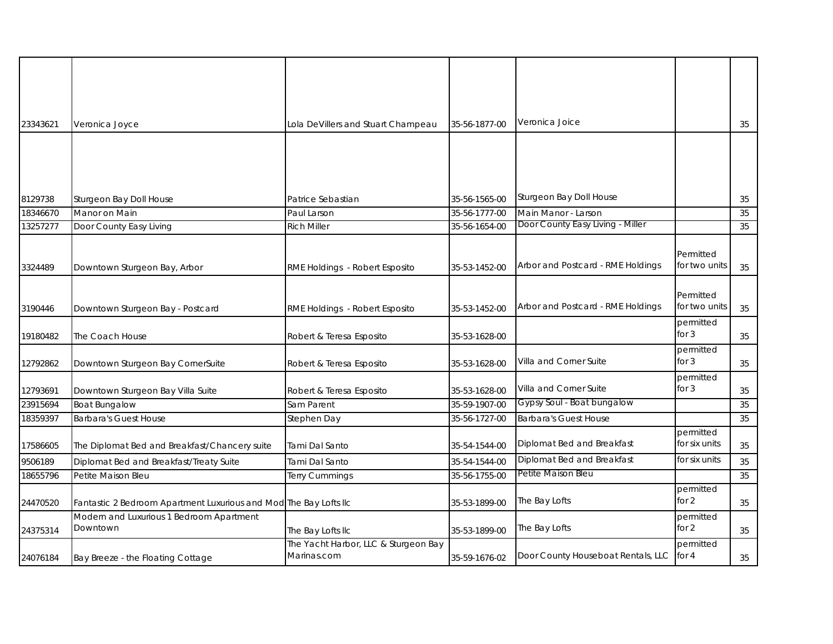| 23343621 | Veronica Joyce                                                    | Lola DeVillers and Stuart Champeau   | 35-56-1877-00 | Veronica Joice                     |                            | 35 |
|----------|-------------------------------------------------------------------|--------------------------------------|---------------|------------------------------------|----------------------------|----|
|          |                                                                   |                                      |               |                                    |                            |    |
|          |                                                                   |                                      |               |                                    |                            |    |
|          |                                                                   |                                      |               |                                    |                            |    |
|          |                                                                   |                                      |               |                                    |                            |    |
| 8129738  | Sturgeon Bay Doll House                                           | Patrice Sebastian                    | 35-56-1565-00 | Sturgeon Bay Doll House            |                            | 35 |
| 18346670 | Manor on Main                                                     | Paul Larson                          | 35-56-1777-00 | Main Manor - Larson                |                            | 35 |
| 13257277 | Door County Easy Living                                           | <b>Rich Miller</b>                   | 35-56-1654-00 | Door County Easy Living - Miller   |                            | 35 |
|          |                                                                   |                                      |               |                                    |                            |    |
|          |                                                                   |                                      |               |                                    | Permitted                  |    |
| 3324489  | Downtown Sturgeon Bay, Arbor                                      | RME Holdings - Robert Esposito       | 35-53-1452-00 | Arbor and Postcard - RME Holdings  | for two units              | 35 |
|          |                                                                   |                                      |               |                                    |                            |    |
| 3190446  | Downtown Sturgeon Bay - Postcard                                  | RME Holdings - Robert Esposito       | 35-53-1452-00 | Arbor and Postcard - RME Holdings  | Permitted<br>for two units | 35 |
|          |                                                                   |                                      |               |                                    | permitted                  |    |
| 19180482 | The Coach House                                                   | Robert & Teresa Esposito             | 35-53-1628-00 |                                    | for $3$                    | 35 |
|          |                                                                   |                                      |               |                                    | permitted                  |    |
| 12792862 | Downtown Sturgeon Bay CornerSuite                                 | Robert & Teresa Esposito             | 35-53-1628-00 | Villa and Corner Suite             | for 3                      | 35 |
|          |                                                                   |                                      |               |                                    | permitted                  |    |
| 12793691 | Downtown Sturgeon Bay Villa Suite                                 | Robert & Teresa Esposito             | 35-53-1628-00 | Villa and Corner Suite             | for $3$                    | 35 |
| 23915694 | <b>Boat Bungalow</b>                                              | Sam Parent                           | 35-59-1907-00 | Gypsy Soul - Boat bungalow         |                            | 35 |
| 18359397 | <b>Barbara's Guest House</b>                                      | Stephen Day                          | 35-56-1727-00 | <b>Barbara's Guest House</b>       |                            | 35 |
|          |                                                                   |                                      |               |                                    | permitted                  |    |
| 17586605 | The Diplomat Bed and Breakfast/Chancery suite                     | Tami Dal Santo                       | 35-54-1544-00 | Diplomat Bed and Breakfast         | for six units              | 35 |
| 9506189  | Diplomat Bed and Breakfast/Treaty Suite                           | Tami Dal Santo                       | 35-54-1544-00 | Diplomat Bed and Breakfast         | for six units              | 35 |
| 18655796 | Petite Maison Bleu                                                | <b>Terry Cummings</b>                | 35-56-1755-00 | Petite Maison Bleu                 |                            | 35 |
| 24470520 | Fantastic 2 Bedroom Apartment Luxurious and Mod The Bay Lofts IIc |                                      | 35-53-1899-00 | The Bay Lofts                      | permitted<br>for 2         | 35 |
|          | Modern and Luxurious 1 Bedroom Apartment                          |                                      |               |                                    | permitted                  |    |
| 24375314 | Downtown                                                          | The Bay Lofts IIc                    | 35-53-1899-00 | The Bay Lofts                      | for 2                      | 35 |
|          |                                                                   | The Yacht Harbor, LLC & Sturgeon Bay |               |                                    | permitted                  |    |
| 24076184 | Bay Breeze - the Floating Cottage                                 | Marinas.com                          | 35-59-1676-02 | Door County Houseboat Rentals, LLC | for $4$                    | 35 |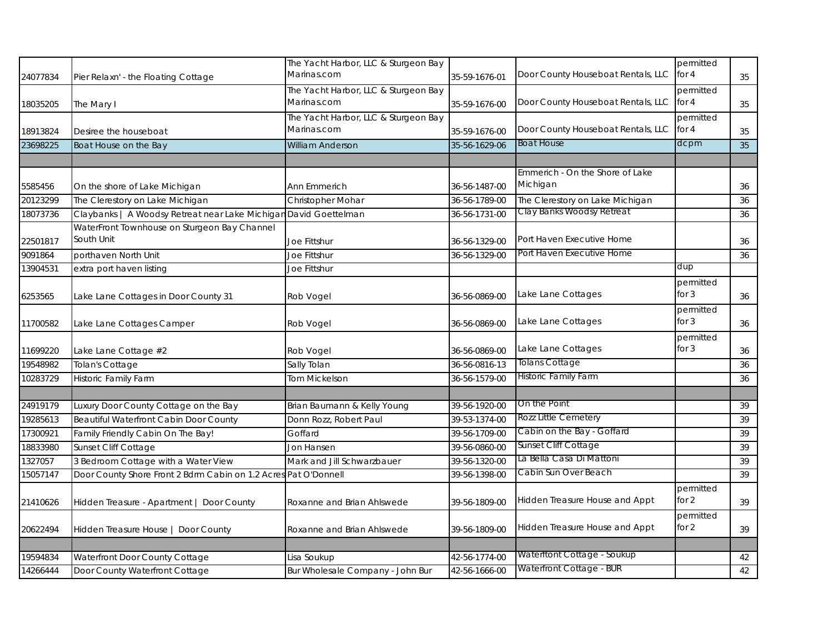| 24077834 | Pier Relaxn' - the Floating Cottage                              | The Yacht Harbor, LLC & Sturgeon Bay<br>Marinas.com | 35-59-1676-01 | Door County Houseboat Rentals, LLC          | permitted<br>for $4$ | 35 |
|----------|------------------------------------------------------------------|-----------------------------------------------------|---------------|---------------------------------------------|----------------------|----|
| 18035205 | The Mary I                                                       | The Yacht Harbor, LLC & Sturgeon Bay<br>Marinas.com | 35-59-1676-00 | Door County Houseboat Rentals, LLC          | permitted<br>for 4   | 35 |
| 18913824 | Desiree the houseboat                                            | The Yacht Harbor, LLC & Sturgeon Bay<br>Marinas.com | 35-59-1676-00 | Door County Houseboat Rentals, LLC          | permitted<br>for $4$ | 35 |
| 23698225 | Boat House on the Bay                                            | William Anderson                                    | 35-56-1629-06 | <b>Boat House</b>                           | dcpm                 | 35 |
|          |                                                                  |                                                     |               |                                             |                      |    |
| 5585456  | On the shore of Lake Michigan                                    | Ann Emmerich                                        | 36-56-1487-00 | Emmerich - On the Shore of Lake<br>Michigan |                      | 36 |
| 20123299 | The Clerestory on Lake Michigan                                  | Christopher Mohar                                   | 36-56-1789-00 | The Clerestory on Lake Michigan             |                      | 36 |
| 18073736 | Claybanks   A Woodsy Retreat near Lake Michigan David Goettelman |                                                     | 36-56-1731-00 | Clay Banks Woodsy Retreat                   |                      | 36 |
| 22501817 | WaterFront Townhouse on Sturgeon Bay Channel<br>South Unit       | Joe Fittshur                                        | 36-56-1329-00 | Port Haven Executive Home                   |                      | 36 |
| 9091864  | porthaven North Unit                                             | Joe Fittshur                                        | 36-56-1329-00 | Port Haven Executive Home                   |                      | 36 |
| 13904531 | extra port haven listing                                         | Joe Fittshur                                        |               |                                             | dup                  |    |
| 6253565  | Lake Lane Cottages in Door County 31                             | Rob Vogel                                           | 36-56-0869-00 | Lake Lane Cottages                          | permitted<br>for $3$ | 36 |
| 11700582 | Lake Lane Cottages Camper                                        | Rob Vogel                                           | 36-56-0869-00 | Lake Lane Cottages                          | permitted<br>for 3   | 36 |
| 11699220 | Lake Lane Cottage #2                                             | Rob Vogel                                           | 36-56-0869-00 | Lake Lane Cottages                          | permitted<br>for $3$ | 36 |
| 19548982 | <b>Tolan's Cottage</b>                                           | Sally Tolan                                         | 36-56-0816-13 | <b>Tolans Cottage</b>                       |                      | 36 |
| 10283729 | <b>Historic Family Farm</b>                                      | <b>Tom Mickelson</b>                                | 36-56-1579-00 | Historic Family Farm                        |                      | 36 |
|          |                                                                  |                                                     |               |                                             |                      |    |
| 24919179 | Luxury Door County Cottage on the Bay                            | Brian Baumann & Kelly Young                         | 39-56-1920-00 | On the Point                                |                      | 39 |
| 19285613 | Beautiful Waterfront Cabin Door County                           | Donn Rozz, Robert Paul                              | 39-53-1374-00 | Rozz Little Cemetery                        |                      | 39 |
| 17300921 | Family Friendly Cabin On The Bay!                                | Goffard                                             | 39-56-1709-00 | Cabin on the Bay - Goffard                  |                      | 39 |
| 18833980 | Sunset Cliff Cottage                                             | Jon Hansen                                          | 39-56-0860-00 | Sunset Cliff Cottage                        |                      | 39 |
| 1327057  | 3 Bedroom Cottage with a Water View                              | Mark and Jill Schwarzbauer                          | 39-56-1320-00 | La Bella Casa Di Mattoni                    |                      | 39 |
| 15057147 | Door County Shore Front 2 Bdrm Cabin on 1.2 Acres Pat O'Donnell  |                                                     | 39-56-1398-00 | Cabin Sun Over Beach                        |                      | 39 |
| 21410626 | Hidden Treasure - Apartment   Door County                        | Roxanne and Brian Ahlswede                          | 39-56-1809-00 | Hidden Treasure House and Appt              | permitted<br>for $2$ | 39 |
| 20622494 | Hidden Treasure House   Door County                              | Roxanne and Brian Ahlswede                          | 39-56-1809-00 | Hidden Treasure House and Appt              | permitted<br>for $2$ | 39 |
|          |                                                                  |                                                     |               |                                             |                      |    |
| 19594834 | Waterfront Door County Cottage                                   | Lisa Soukup                                         | 42-56-1774-00 | Waterftont Cottage - Soukup                 |                      | 42 |
| 14266444 | Door County Waterfront Cottage                                   | Bur Wholesale Company - John Bur                    | 42-56-1666-00 | Waterfront Cottage - BUR                    |                      | 42 |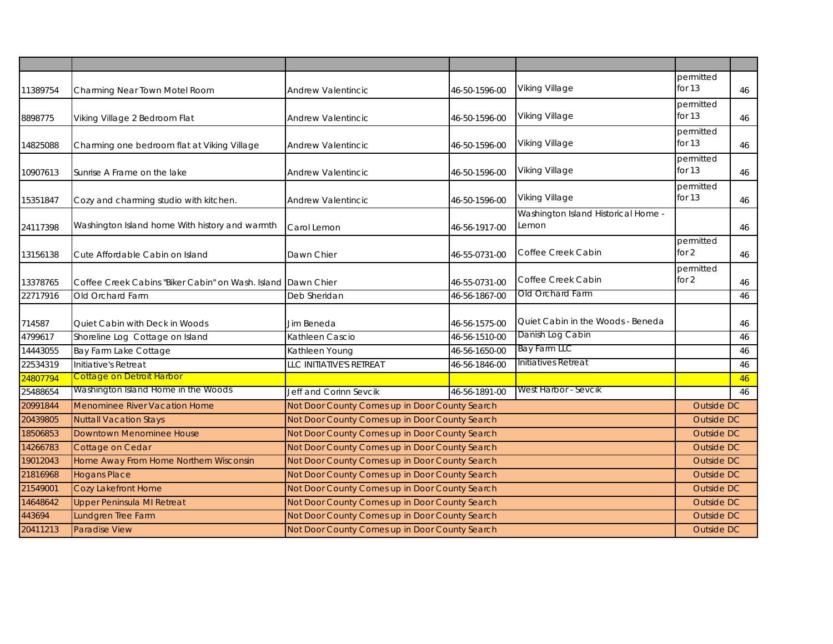| 11389754 | Charming Near Town Motel Room                                | Andrew Valentincic                                                     | 46-50-1596-00 | Viking Village                               | permitted<br>for $13$ | 46                |
|----------|--------------------------------------------------------------|------------------------------------------------------------------------|---------------|----------------------------------------------|-----------------------|-------------------|
| 8898775  | Viking Village 2 Bedroom Flat                                | Andrew Valentincic                                                     | 46-50-1596-00 | Viking Village                               | permitted<br>for $13$ | 46                |
| 14825088 | Charming one bedroom flat at Viking Village                  | <b>Andrew Valentincic</b>                                              | 46-50-1596-00 | Viking Village                               | permitted<br>for $13$ | 46                |
| 10907613 | Sunrise A Frame on the lake                                  | <b>Andrew Valentincic</b>                                              | 46-50-1596-00 | Viking Village                               | permitted<br>for $13$ | 46                |
| 15351847 | Cozy and charming studio with kitchen.                       | <b>Andrew Valentincic</b>                                              | 46-50-1596-00 | Viking Village                               | permitted<br>for $13$ | 46                |
| 24117398 | Washington Island home With history and warmth               | Carol Lemon                                                            | 46-56-1917-00 | Washington Island Historical Home -<br>Lemon |                       | 46                |
| 13156138 | Cute Affordable Cabin on Island                              | Dawn Chier                                                             | 46-55-0731-00 | Coffee Creek Cabin                           | permitted<br>for 2    | 46                |
| 13378765 | Coffee Creek Cabins "Biker Cabin" on Wash, Island Dawn Chier |                                                                        | 46-55-0731-00 | Coffee Creek Cabin                           | permitted<br>for 2    | 46                |
| 22717916 | Old Orchard Farm                                             | Deb Sheridan                                                           | 46-56-1867-00 | Old Orchard Farm                             |                       | 46                |
| 714587   | Quiet Cabin with Deck in Woods                               | Jim Beneda                                                             | 46-56-1575-00 | Quiet Cabin in the Woods - Beneda            |                       | 46                |
| 4799617  | Shoreline Log Cottage on Island                              | Kathleen Cascio                                                        | 46-56-1510-00 | Danish Log Cabin                             |                       | 46                |
| 14443055 | Bay Farm Lake Cottage                                        | Bay Farm LLC<br>Kathleen Young<br>46-56-1650-00<br>Initiatives Retreat |               |                                              |                       | 46                |
| 22534319 | Initiative's Retreat                                         | LLC INITIATIVE'S RETREAT                                               | 46-56-1846-00 |                                              |                       | 46                |
| 24807794 | <b>Cottage on Detroit Harbor</b>                             |                                                                        |               |                                              |                       | 46                |
| 25488654 | Washington Island Home in the Woods                          | Jeff and Corinn Sevcik                                                 | 46-56-1891-00 | West Harbor - Sevcik                         |                       | 46                |
| 20991844 | Menominee River Vacation Home                                | Not Door County Comes up in Door County Search                         |               |                                              | Outside DC            |                   |
| 20439805 | <b>Nuttall Vacation Stays</b>                                | Not Door County Comes up in Door County Search                         |               |                                              |                       | Outside DC        |
| 18506853 | Downtown Menominee House                                     | Not Door County Comes up in Door County Search                         |               |                                              |                       | <b>Outside DC</b> |
| 14266783 | Cottage on Cedar                                             | Not Door County Comes up in Door County Search                         |               |                                              |                       | <b>Outside DC</b> |
| 19012043 | Home Away From Home Northern Wisconsin                       | Not Door County Comes up in Door County Search                         |               |                                              |                       | Outside DC        |
| 21816968 | <b>Hogans Place</b>                                          | Not Door County Comes up in Door County Search                         |               |                                              |                       | Outside DC        |
| 21549001 | <b>Cozy Lakefront Home</b>                                   | Not Door County Comes up in Door County Search                         |               |                                              |                       | Outside DC        |
| 14648642 | <b>Upper Peninsula MI Retreat</b>                            | Not Door County Comes up in Door County Search                         |               |                                              |                       | <b>Outside DC</b> |
| 443694   | Lundgren Tree Farm                                           | Not Door County Comes up in Door County Search                         |               |                                              |                       | <b>Outside DC</b> |
| 20411213 | <b>Paradise View</b>                                         | Not Door County Comes up in Door County Search                         |               |                                              |                       | <b>Outside DC</b> |